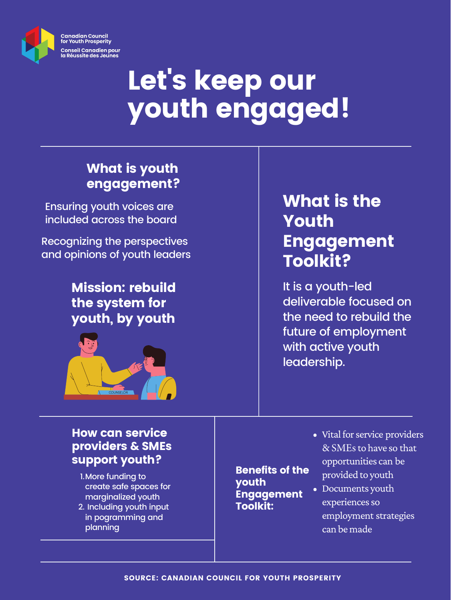Ensuring youth voices are included across the board

Recognizing the perspectives and opinions of youth leaders



# Let's keep our youth engaged!

Mission: rebuild the system for

#### youth, by youth



#### What is youth engagement?

What is the Youth [Engagement](https://ccyp-ccpj.wildapricot.org/resources/Knowledge%20Centre/FINAL_APR22_ENGLISH_CCYP_8.5x11_Report_YOUTHENGAGEMENT_APRIL2021.pdf) Toolkit?

- 1. More funding to create safe spaces for marginalized youth
- 2. Including youth input in pogramming and planning

It is a youth-led deliverable focused on the need to rebuild the future of employment with active youth leadership.

- Vital for service providers & SMEs to have so that opportunities can be provided to youth
- Documents youth experiences so employment strategies can be made

Benefits of the youth Engagement Toolkit:

#### How can service providers **& SMEs** support youth?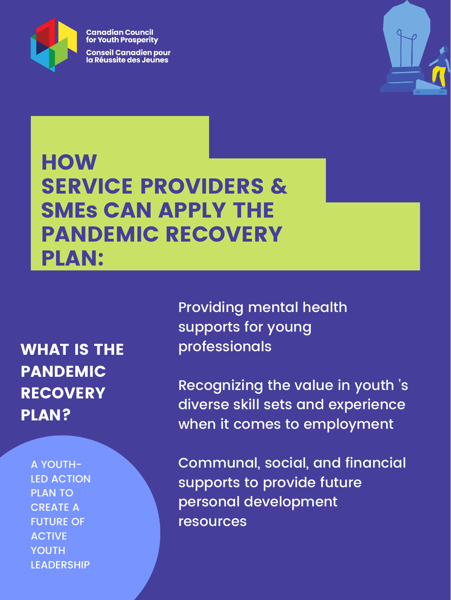

**Canadian Council** for Youth Prosperity

**Conseil Canadien pour<br>la Réussite des Jeunes** 



## **HOW** SERVICE PROVIDERS **& SMEs** CAN APPLY THE PANDEMIC RECOVERY PLAN:

WHAT IS THE [PANDEMIC](https://ccyp-ccpj.wildapricot.org/resources/Knowledge%20Centre/FINAL3_APR27_CCYP_8.5x11_ENGLISH_Report_RECOVERYPLAN_APRIL2021.pdf) **RECOVERY** PLAN?

A YOUTH-LED ACTION PLAN TO CREATE A FUTURE OF ACTIVE YOUTH LEADERSHIP

Providing mental health

supports for young professionals

Recognizing the value in youth 's diverse skill sets and experience when it comes to employment

Communal, social, and financial supports to provide future personal development resources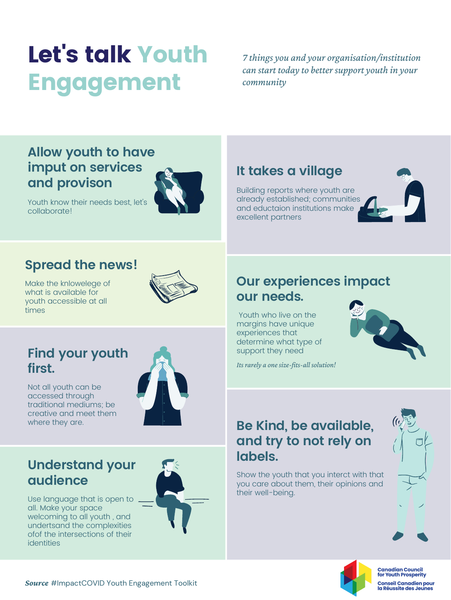Make the knlowelege of what is available for youth accessible at all times



#### **Spread the news!**

### **It takes a village**

Building reports where youth are already established; communities and eductaion institutions make excellent partners



Youth who live on the margins have unique experiences that determine what type of support they need

*Its rarely a onesize-fits-all solution!*

#### **Our experiences impact our needs.**



#### **Find your youth first.**

Not all youth can be accessed through traditional mediums; be creative and meet them



Youth know their needs best, let's collaborate!



Show the youth that you interct with that you care about them, their opinions and their well-being.





**Canadian Council** for Youth Prosperity

**Conseil Canadien pour** la Réussite des Jeunes

#### **Understand your audience**

Use language that is open to all. Make your space welcoming to all youth , and undertsand the complexities ofof the intersections of their identities



*Source* [#ImpactCOVID](https://ccyp-ccpj.wildapricot.org/resources/Knowledge%20Centre/FINAL_APR22_ENGLISH_CCYP_8.5x11_Report_YOUTHENGAGEMENT_APRIL2021.pdf) Youth Engagement Toolkit

#### **Allow youth to have imput on services and provison**



# Let' s talk Youth Engagement

*7 things you and your organisation/institution can start today to better support youth in your community*